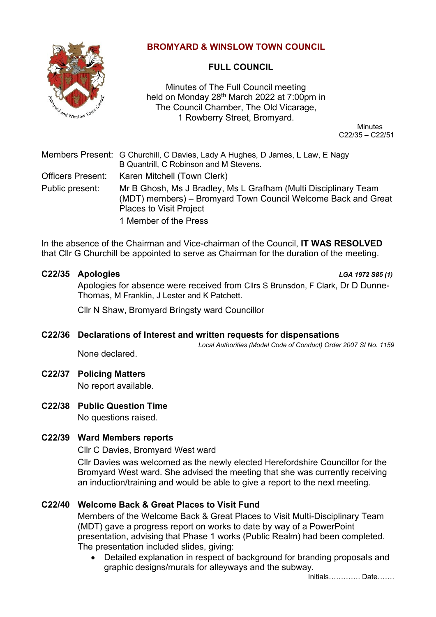

### **BROMYARD & WINSLOW TOWN COUNCIL**

# **FULL COUNCIL**

Minutes of The Full Council meeting held on Monday 28<sup>th</sup> March 2022 at 7:00pm in The Council Chamber, The Old Vicarage, 1 Rowberry Street, Bromyard.

 Minutes C22/35 – C22/51

|                          | Members Present: G Churchill, C Davies, Lady A Hughes, D James, L Law, E Nagy<br>B Quantrill, C Robinson and M Stevens.                                            |
|--------------------------|--------------------------------------------------------------------------------------------------------------------------------------------------------------------|
| <b>Officers Present:</b> | Karen Mitchell (Town Clerk)                                                                                                                                        |
| Public present:          | Mr B Ghosh, Ms J Bradley, Ms L Grafham (Multi Disciplinary Team<br>(MDT) members) – Bromyard Town Council Welcome Back and Great<br><b>Places to Visit Project</b> |
|                          | 1 Member of the Press                                                                                                                                              |

In the absence of the Chairman and Vice-chairman of the Council, **IT WAS RESOLVED** that Cllr G Churchill be appointed to serve as Chairman for the duration of the meeting.

#### **C22/35 Apologies** *LGA 1972 S85 (1)*

Apologies for absence were received from Cllrs S Brunsdon, F Clark, Dr D Dunne-Thomas, M Franklin, J Lester and K Patchett.

Cllr N Shaw, Bromyard Bringsty ward Councillor

#### **C22/36 Declarations of Interest and written requests for dispensations**

*Local Authorities (Model Code of Conduct) Order 2007 SI No. 1159*

None declared.

#### **C22/37 Policing Matters**

No report available.

# **C22/38 Public Question Time**

No questions raised.

# **C22/39 Ward Members reports**

Cllr C Davies, Bromyard West ward

Cllr Davies was welcomed as the newly elected Herefordshire Councillor for the Bromyard West ward. She advised the meeting that she was currently receiving an induction/training and would be able to give a report to the next meeting.

# **C22/40 Welcome Back & Great Places to Visit Fund**

Members of the Welcome Back & Great Places to Visit Multi-Disciplinary Team (MDT) gave a progress report on works to date by way of a PowerPoint presentation, advising that Phase 1 works (Public Realm) had been completed. The presentation included slides, giving:

• Detailed explanation in respect of background for branding proposals and graphic designs/murals for alleyways and the subway.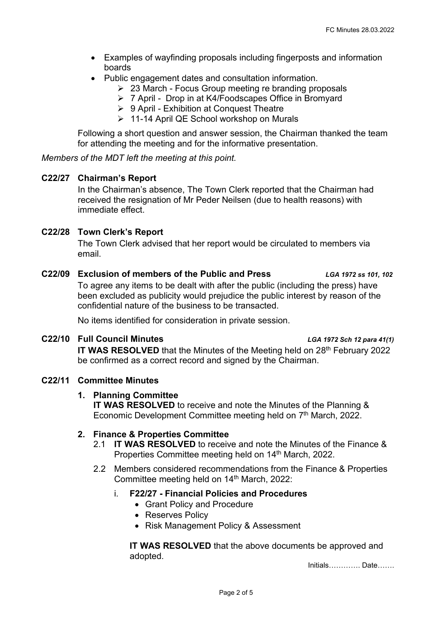- Examples of wayfinding proposals including fingerposts and information boards
- Public engagement dates and consultation information.
	- ➢ 23 March Focus Group meeting re branding proposals
	- ➢ 7 April Drop in at K4/Foodscapes Office in Bromyard
	- ➢ 9 April Exhibition at Conquest Theatre
	- ➢ 11-14 April QE School workshop on Murals

Following a short question and answer session, the Chairman thanked the team for attending the meeting and for the informative presentation.

*Members of the MDT left the meeting at this point.*

#### **C22/27 Chairman's Report**

In the Chairman's absence, The Town Clerk reported that the Chairman had received the resignation of Mr Peder Neilsen (due to health reasons) with immediate effect.

#### **C22/28 Town Clerk's Report**

The Town Clerk advised that her report would be circulated to members via email.

#### **C22/09 Exclusion of members of the Public and Press** *LGA 1972 ss 101, 102*

To agree any items to be dealt with after the public (including the press) have been excluded as publicity would prejudice the public interest by reason of the confidential nature of the business to be transacted.

No items identified for consideration in private session.

#### **C22/10 Full Council Minutes** *LGA 1972 Sch 12 para 41(1)*

**IT WAS RESOLVED** that the Minutes of the Meeting held on 28<sup>th</sup> February 2022 be confirmed as a correct record and signed by the Chairman.

#### **C22/11 Committee Minutes**

#### **1. Planning Committee**

**IT WAS RESOLVED** to receive and note the Minutes of the Planning & Economic Development Committee meeting held on 7<sup>th</sup> March, 2022.

#### **2. Finance & Properties Committee**

- 2.1 **IT WAS RESOLVED** to receive and note the Minutes of the Finance & Properties Committee meeting held on 14<sup>th</sup> March, 2022.
- 2.2 Members considered recommendations from the Finance & Properties Committee meeting held on 14<sup>th</sup> March, 2022:

### i. **F22/27 - Financial Policies and Procedures**

- Grant Policy and Procedure
- Reserves Policy
- Risk Management Policy & Assessment

**IT WAS RESOLVED** that the above documents be approved and adopted.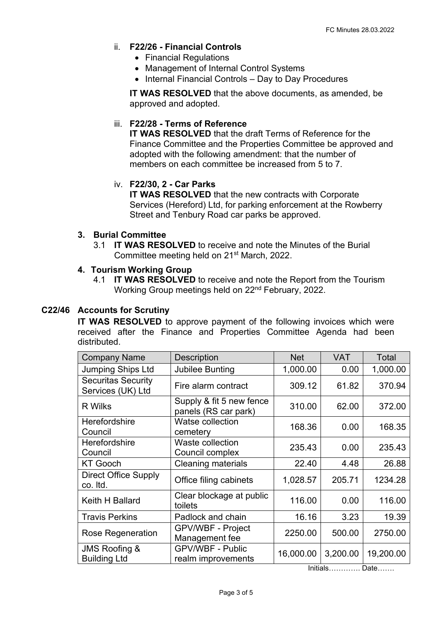### ii. **F22/26 - Financial Controls**

- Financial Regulations
- Management of Internal Control Systems
- Internal Financial Controls Day to Day Procedures

**IT WAS RESOLVED** that the above documents, as amended, be approved and adopted.

### iii. **F22/28 - Terms of Reference**

**IT WAS RESOLVED** that the draft Terms of Reference for the Finance Committee and the Properties Committee be approved and adopted with the following amendment: that the number of members on each committee be increased from 5 to 7.

### iv. **F22/30, 2 - Car Parks**

**IT WAS RESOLVED** that the new contracts with Corporate Services (Hereford) Ltd, for parking enforcement at the Rowberry Street and Tenbury Road car parks be approved.

#### **3. Burial Committee**

3.1 **IT WAS RESOLVED** to receive and note the Minutes of the Burial Committee meeting held on 21st March, 2022.

### **4. Tourism Working Group**

4.1 **IT WAS RESOLVED** to receive and note the Report from the Tourism Working Group meetings held on 22nd February, 2022.

### **C22/46 Accounts for Scrutiny**

**IT WAS RESOLVED** to approve payment of the following invoices which were received after the Finance and Properties Committee Agenda had been distributed.

| <b>Company Name</b>                             | <b>Description</b>                               | <b>Net</b> | <b>VAT</b> | Total     |
|-------------------------------------------------|--------------------------------------------------|------------|------------|-----------|
| <b>Jumping Ships Ltd</b>                        | <b>Jubilee Bunting</b>                           | 1,000.00   | 0.00       | 1,000.00  |
| <b>Securitas Security</b><br>Services (UK) Ltd  | Fire alarm contract                              | 309.12     | 61.82      | 370.94    |
| R Wilks                                         | Supply & fit 5 new fence<br>panels (RS car park) | 310.00     | 62.00      | 372.00    |
| Herefordshire<br>Council                        | <b>Watse collection</b><br>cemetery              | 168.36     | 0.00       | 168.35    |
| <b>Herefordshire</b><br>Council                 | Waste collection<br>Council complex              | 235.43     | 0.00       | 235.43    |
| <b>KT Gooch</b>                                 | <b>Cleaning materials</b>                        | 22.40      | 4.48       | 26.88     |
| <b>Direct Office Supply</b><br>co. Itd.         | Office filing cabinets                           | 1,028.57   | 205.71     | 1234.28   |
| Keith H Ballard                                 | Clear blockage at public<br>toilets              | 116.00     | 0.00       | 116.00    |
| <b>Travis Perkins</b>                           | Padlock and chain                                | 16.16      | 3.23       | 19.39     |
| <b>Rose Regeneration</b>                        | <b>GPV/WBF - Project</b><br>Management fee       | 2250.00    | 500.00     | 2750.00   |
| <b>JMS Roofing &amp;</b><br><b>Building Ltd</b> | <b>GPV/WBF - Public</b><br>realm improvements    | 16,000.00  | 3,200.00   | 19,200.00 |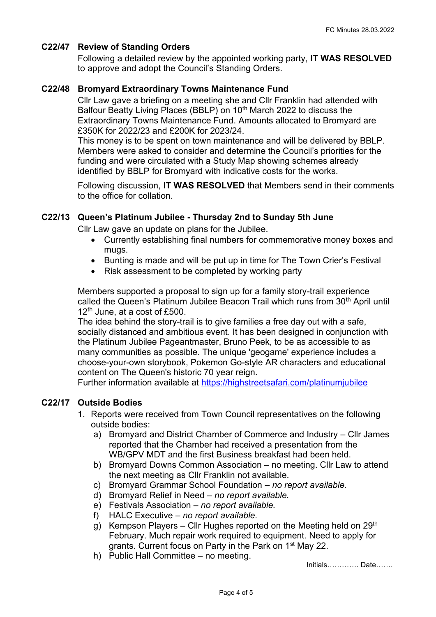#### **C22/47 Review of Standing Orders**

Following a detailed review by the appointed working party, **IT WAS RESOLVED** to approve and adopt the Council's Standing Orders.

#### **C22/48 Bromyard Extraordinary Towns Maintenance Fund**

Cllr Law gave a briefing on a meeting she and Cllr Franklin had attended with Balfour Beatty Living Places (BBLP) on 10<sup>th</sup> March 2022 to discuss the Extraordinary Towns Maintenance Fund. Amounts allocated to Bromyard are £350K for 2022/23 and £200K for 2023/24.

This money is to be spent on town maintenance and will be delivered by BBLP. Members were asked to consider and determine the Council's priorities for the funding and were circulated with a Study Map showing schemes already identified by BBLP for Bromyard with indicative costs for the works.

Following discussion, **IT WAS RESOLVED** that Members send in their comments to the office for collation.

#### **C22/13 Queen's Platinum Jubilee - Thursday 2nd to Sunday 5th June**

Cllr Law gave an update on plans for the Jubilee.

- Currently establishing final numbers for commemorative money boxes and mugs.
- Bunting is made and will be put up in time for The Town Crier's Festival
- Risk assessment to be completed by working party

Members supported a proposal to sign up for a family story-trail experience called the Queen's Platinum Jubilee Beacon Trail which runs from 30<sup>th</sup> April until  $12<sup>th</sup>$  June, at a cost of £500.

The idea behind the story-trail is to give families a free day out with a safe, socially distanced and ambitious event. It has been designed in conjunction with the Platinum Jubilee Pageantmaster, Bruno Peek, to be as accessible to as many communities as possible. The unique 'geogame' experience includes a choose-your-own storybook, Pokemon Go-style AR characters and educational content on The Queen's historic 70 year reign.

Further information available at<https://highstreetsafari.com/platinumjubilee>

#### **C22/17 Outside Bodies**

- 1. Reports were received from Town Council representatives on the following outside bodies:
	- a) Bromyard and District Chamber of Commerce and Industry Cllr James reported that the Chamber had received a presentation from the WB/GPV MDT and the first Business breakfast had been held.
	- b) Bromyard Downs Common Association no meeting. Cllr Law to attend the next meeting as Cllr Franklin not available.
	- c) Bromyard Grammar School Foundation *no report available.*
	- d) Bromyard Relief in Need *no report available.*
	- e) Festivals Association *no report available.*
	- f) HALC Executive *no report available.*
	- g) Kempson Players Cllr Hughes reported on the Meeting held on  $29<sup>th</sup>$ February. Much repair work required to equipment. Need to apply for grants. Current focus on Party in the Park on 1<sup>st</sup> May 22.
	- h) Public Hall Committee no meeting.